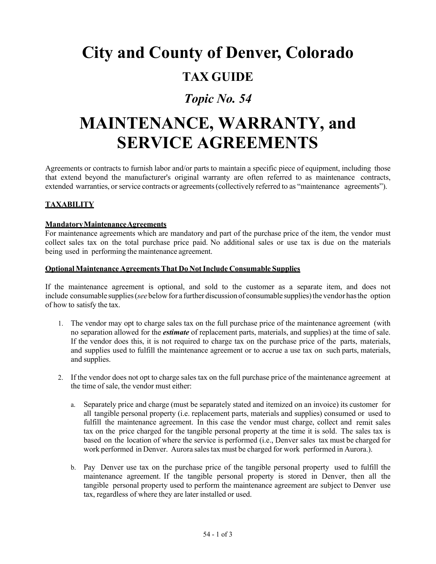# **City and County of Denver, Colorado**

## **TAX GUIDE**

### *Topic No. 54*

## **MAINTENANCE, WARRANTY, and SERVICE AGREEMENTS**

Agreements or contracts to furnish labor and/or parts to maintain a specific piece of equipment, including those that extend beyond the manufacturer's original warranty are often referred to as maintenance contracts, extended warranties, or service contracts or agreements (collectively referred to as "maintenance agreements").

#### **TAXABILITY**

#### **MandatoryMaintenanceAgreements**

For maintenance agreements which are mandatory and part of the purchase price of the item, the vendor must collect sales tax on the total purchase price paid. No additional sales or use tax is due on the materials being used in performing the maintenance agreement.

#### **Optional Maintenance AgreementsThat Do NotInclude Consumable Supplies**

If the maintenance agreement is optional, and sold to the customer as a separate item, and does not include consumable supplies (*see* below for a further discussion of consumable supplies) the vendor has the option of how to satisfy the tax.

- 1. The vendor may opt to charge sales tax on the full purchase price of the maintenance agreement (with no separation allowed for the *estimate* of replacement parts, materials, and supplies) at the time of sale. If the vendor does this, it is not required to charge tax on the purchase price of the parts, materials, and supplies used to fulfill the maintenance agreement or to accrue a use tax on such parts, materials, and supplies.
- 2. If the vendor does not opt to charge sales tax on the full purchase price of the maintenance agreement at the time of sale, the vendor must either:
	- a. Separately price and charge (must be separately stated and itemized on an invoice) its customer for all tangible personal property (i.e. replacement parts, materials and supplies) consumed or used to fulfill the maintenance agreement. In this case the vendor must charge, collect and remit sales tax on the price charged for the tangible personal property at the time it is sold. The sales tax is based on the location of where the service is performed (i.e., Denver sales tax must be charged for work performed in Denver. Aurora sales tax must be charged for work performed in Aurora.).
	- b. Pay Denver use tax on the purchase price of the tangible personal property used to fulfill the maintenance agreement. If the tangible personal property is stored in Denver, then all the tangible personal property used to perform the maintenance agreement are subject to Denver use tax, regardless of where they are later installed or used.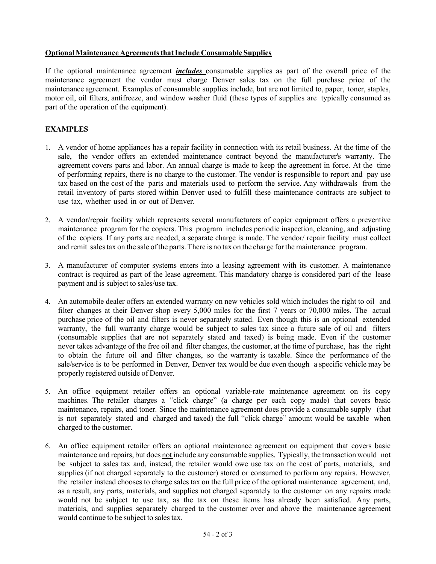#### **OptionalMaintenance AgreementsthatInclude Consumable Supplies**

If the optional maintenance agreement *includes* consumable supplies as part of the overall price of the maintenance agreement the vendor must charge Denver sales tax on the full purchase price of the maintenance agreement. Examples of consumable supplies include, but are not limited to, paper, toner, staples, motor oil, oil filters, antifreeze, and window washer fluid (these types of supplies are typically consumed as part of the operation of the equipment).

#### **EXAMPLES**

- 1. A vendor of home appliances has a repair facility in connection with its retail business. At the time of the sale, the vendor offers an extended maintenance contract beyond the manufacturer's warranty. The agreement covers parts and labor. An annual charge is made to keep the agreement in force. At the time of performing repairs, there is no charge to the customer. The vendor is responsible to report and pay use tax based on the cost of the parts and materials used to perform the service. Any withdrawals from the retail inventory of parts stored within Denver used to fulfill these maintenance contracts are subject to use tax, whether used in or out of Denver.
- 2. A vendor/repair facility which represents several manufacturers of copier equipment offers a preventive maintenance program for the copiers. This program includes periodic inspection, cleaning, and adjusting of the copiers. If any parts are needed, a separate charge is made. The vendor/ repair facility must collect and remit salestax on the sale ofthe parts. There is no tax on the charge forthe maintenance program.
- 3. A manufacturer of computer systems enters into a leasing agreement with its customer. A maintenance contract is required as part of the lease agreement. This mandatory charge is considered part of the lease payment and is subject to sales/use tax.
- 4. An automobile dealer offers an extended warranty on new vehicles sold which includes the right to oil and filter changes at their Denver shop every 5,000 miles for the first 7 years or 70,000 miles. The actual purchase price of the oil and filters is never separately stated. Even though this is an optional extended warranty, the full warranty charge would be subject to sales tax since a future sale of oil and filters (consumable supplies that are not separately stated and taxed) is being made. Even if the customer never takes advantage of the free oil and filter changes, the customer, at the time of purchase, has the right to obtain the future oil and filter changes, so the warranty is taxable. Since the performance of the sale/service is to be performed in Denver, Denver tax would be due even though a specific vehicle may be properly registered outside of Denver.
- 5. An office equipment retailer offers an optional variable-rate maintenance agreement on its copy machines. The retailer charges a "click charge" (a charge per each copy made) that covers basic maintenance, repairs, and toner. Since the maintenance agreement does provide a consumable supply (that is not separately stated and charged and taxed) the full "click charge" amount would be taxable when charged to the customer.
- 6. An office equipment retailer offers an optional maintenance agreement on equipment that covers basic maintenance and repairs, but does not include any consumable supplies. Typically, the transaction would not be subject to sales tax and, instead, the retailer would owe use tax on the cost of parts, materials, and supplies (if not charged separately to the customer) stored or consumed to perform any repairs. However, the retailer instead chooses to charge sales tax on the full price of the optional maintenance agreement, and, as a result, any parts, materials, and supplies not charged separately to the customer on any repairs made would not be subject to use tax, as the tax on these items has already been satisfied. Any parts, materials, and supplies separately charged to the customer over and above the maintenance agreement would continue to be subject to sales tax.